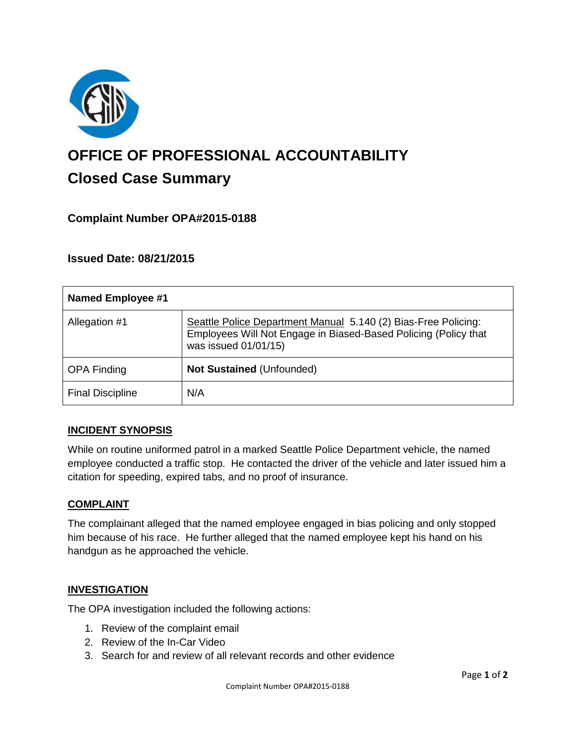

# **OFFICE OF PROFESSIONAL ACCOUNTABILITY Closed Case Summary**

## **Complaint Number OPA#2015-0188**

## **Issued Date: 08/21/2015**

| <b>Named Employee #1</b> |                                                                                                                                                           |
|--------------------------|-----------------------------------------------------------------------------------------------------------------------------------------------------------|
| Allegation #1            | Seattle Police Department Manual 5.140 (2) Bias-Free Policing:<br>Employees Will Not Engage in Biased-Based Policing (Policy that<br>was issued 01/01/15) |
| <b>OPA Finding</b>       | <b>Not Sustained (Unfounded)</b>                                                                                                                          |
| <b>Final Discipline</b>  | N/A                                                                                                                                                       |

## **INCIDENT SYNOPSIS**

While on routine uniformed patrol in a marked Seattle Police Department vehicle, the named employee conducted a traffic stop. He contacted the driver of the vehicle and later issued him a citation for speeding, expired tabs, and no proof of insurance.

#### **COMPLAINT**

The complainant alleged that the named employee engaged in bias policing and only stopped him because of his race. He further alleged that the named employee kept his hand on his handgun as he approached the vehicle.

#### **INVESTIGATION**

The OPA investigation included the following actions:

- 1. Review of the complaint email
- 2. Review of the In-Car Video
- 3. Search for and review of all relevant records and other evidence